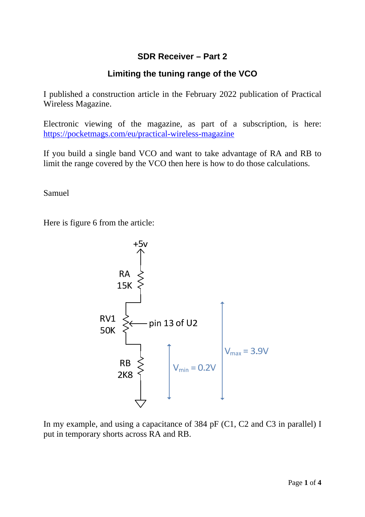## **SDR Receiver – Part 2**

## **Limiting the tuning range of the VCO**

I published a construction article in the February 2022 publication of Practical Wireless Magazine.

Electronic viewing of the magazine, as part of a subscription, is here: https://pocketmags.com/eu/practical-wireless-magazine

If you build a single band VCO and want to take advantage of RA and RB to limit the range covered by the VCO then here is how to do those calculations.

Samuel

Here is figure 6 from the article:



In my example, and using a capacitance of 384 pF (C1, C2 and C3 in parallel) I put in temporary shorts across RA and RB.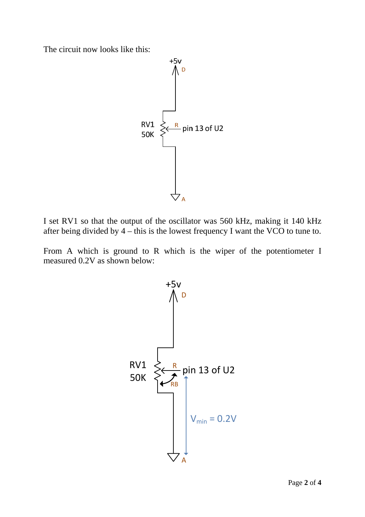The circuit now looks like this:



I set RV1 so that the output of the oscillator was 560 kHz, making it 140 kHz after being divided by 4 – this is the lowest frequency I want the VCO to tune to.

From A which is ground to R which is the wiper of the potentiometer I measured 0.2V as shown below:

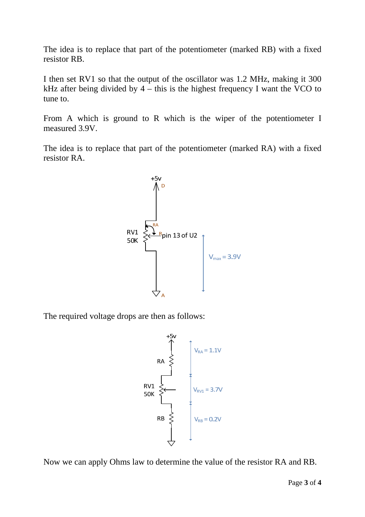The idea is to replace that part of the potentiometer (marked RB) with a fixed resistor RB.

I then set RV1 so that the output of the oscillator was 1.2 MHz, making it 300 kHz after being divided by  $4 - this$  is the highest frequency I want the VCO to tune to.

From A which is ground to R which is the wiper of the potentiometer I measured 3.9V.

The idea is to replace that part of the potentiometer (marked RA) with a fixed resistor RA.



The required voltage drops are then as follows:



Now we can apply Ohms law to determine the value of the resistor RA and RB.